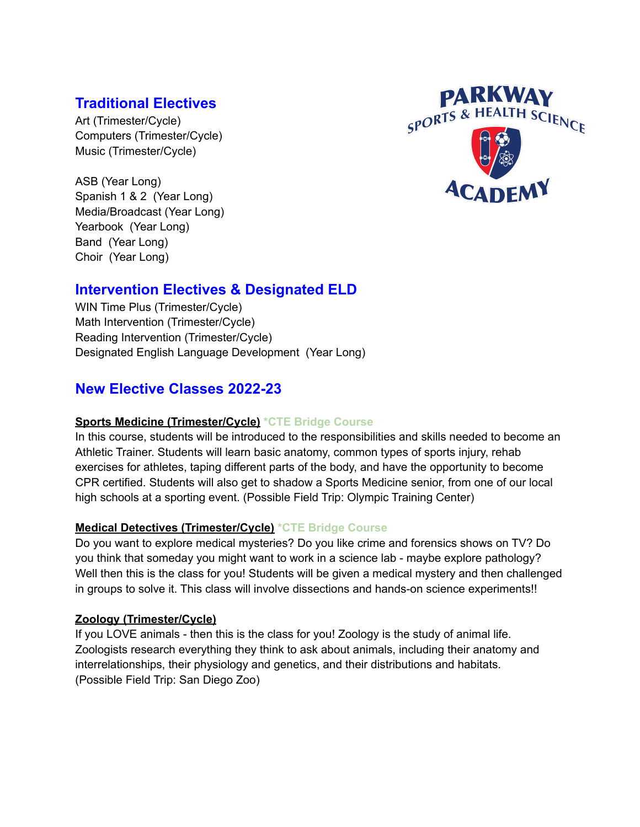# **Traditional Electives**

Art (Trimester/Cycle) Computers (Trimester/Cycle) Music (Trimester/Cycle)

ASB (Year Long) Spanish 1 & 2 (Year Long) Media/Broadcast (Year Long) Yearbook (Year Long) Band (Year Long) Choir (Year Long)



## **Intervention Electives & Designated ELD**

WIN Time Plus (Trimester/Cycle) Math Intervention (Trimester/Cycle) Reading Intervention (Trimester/Cycle) Designated English Language Development (Year Long)

## **New Elective Classes 2022-23**

#### **Sports Medicine (Trimester/Cycle) \*CTE Bridge Course**

In this course, students will be introduced to the responsibilities and skills needed to become an Athletic Trainer. Students will learn basic anatomy, common types of sports injury, rehab exercises for athletes, taping different parts of the body, and have the opportunity to become CPR certified. Students will also get to shadow a Sports Medicine senior, from one of our local high schools at a sporting event. (Possible Field Trip: Olympic Training Center)

## **Medical Detectives (Trimester/Cycle) \*CTE Bridge Course**

Do you want to explore medical mysteries? Do you like crime and forensics shows on TV? Do you think that someday you might want to work in a science lab - maybe explore pathology? Well then this is the class for you! Students will be given a medical mystery and then challenged in groups to solve it. This class will involve dissections and hands-on science experiments!!

#### **Zoology (Trimester/Cycle)**

If you LOVE animals - then this is the class for you! Zoology is the study of animal life. Zoologists research everything they think to ask about animals, including their anatomy and interrelationships, their physiology and genetics, and their distributions and habitats. (Possible Field Trip: San Diego Zoo)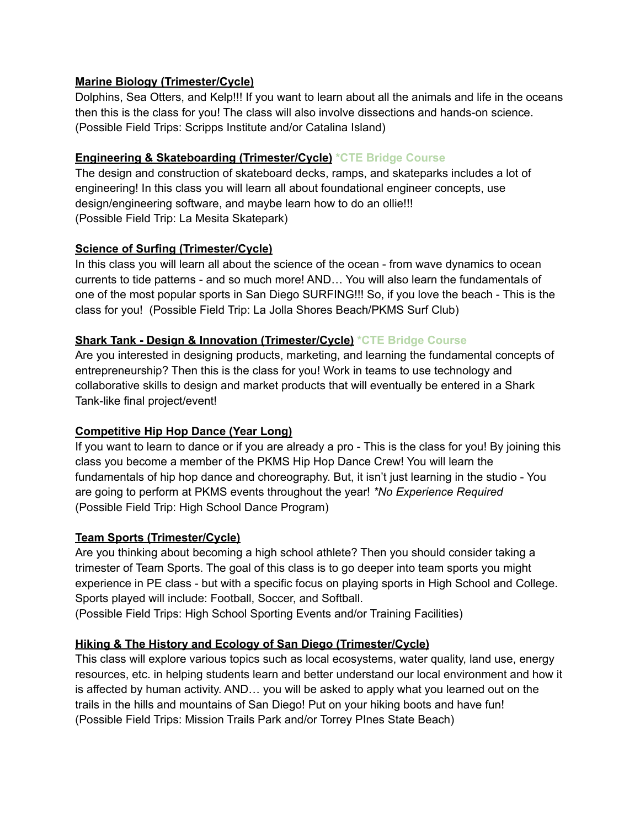#### **Marine Biology (Trimester/Cycle)**

Dolphins, Sea Otters, and Kelp!!! If you want to learn about all the animals and life in the oceans then this is the class for you! The class will also involve dissections and hands-on science. (Possible Field Trips: Scripps Institute and/or Catalina Island)

### **Engineering & Skateboarding (Trimester/Cycle) \*CTE Bridge Course**

The design and construction of skateboard decks, ramps, and skateparks includes a lot of engineering! In this class you will learn all about foundational engineer concepts, use design/engineering software, and maybe learn how to do an ollie!!! (Possible Field Trip: La Mesita Skatepark)

### **Science of Surfing (Trimester/Cycle)**

In this class you will learn all about the science of the ocean - from wave dynamics to ocean currents to tide patterns - and so much more! AND… You will also learn the fundamentals of one of the most popular sports in San Diego SURFING!!! So, if you love the beach - This is the class for you! (Possible Field Trip: La Jolla Shores Beach/PKMS Surf Club)

### **Shark Tank - Design & Innovation (Trimester/Cycle) \*CTE Bridge Course**

Are you interested in designing products, marketing, and learning the fundamental concepts of entrepreneurship? Then this is the class for you! Work in teams to use technology and collaborative skills to design and market products that will eventually be entered in a Shark Tank-like final project/event!

## **Competitive Hip Hop Dance (Year Long)**

If you want to learn to dance or if you are already a pro - This is the class for you! By joining this class you become a member of the PKMS Hip Hop Dance Crew! You will learn the fundamentals of hip hop dance and choreography. But, it isn't just learning in the studio - You are going to perform at PKMS events throughout the year! *\*No Experience Required* (Possible Field Trip: High School Dance Program)

#### **Team Sports (Trimester/Cycle)**

Are you thinking about becoming a high school athlete? Then you should consider taking a trimester of Team Sports. The goal of this class is to go deeper into team sports you might experience in PE class - but with a specific focus on playing sports in High School and College. Sports played will include: Football, Soccer, and Softball.

(Possible Field Trips: High School Sporting Events and/or Training Facilities)

## **Hiking & The History and Ecology of San Diego (Trimester/Cycle)**

This class will explore various topics such as local ecosystems, water quality, land use, energy resources, etc. in helping students learn and better understand our local environment and how it is affected by human activity. AND… you will be asked to apply what you learned out on the trails in the hills and mountains of San Diego! Put on your hiking boots and have fun! (Possible Field Trips: Mission Trails Park and/or Torrey PInes State Beach)